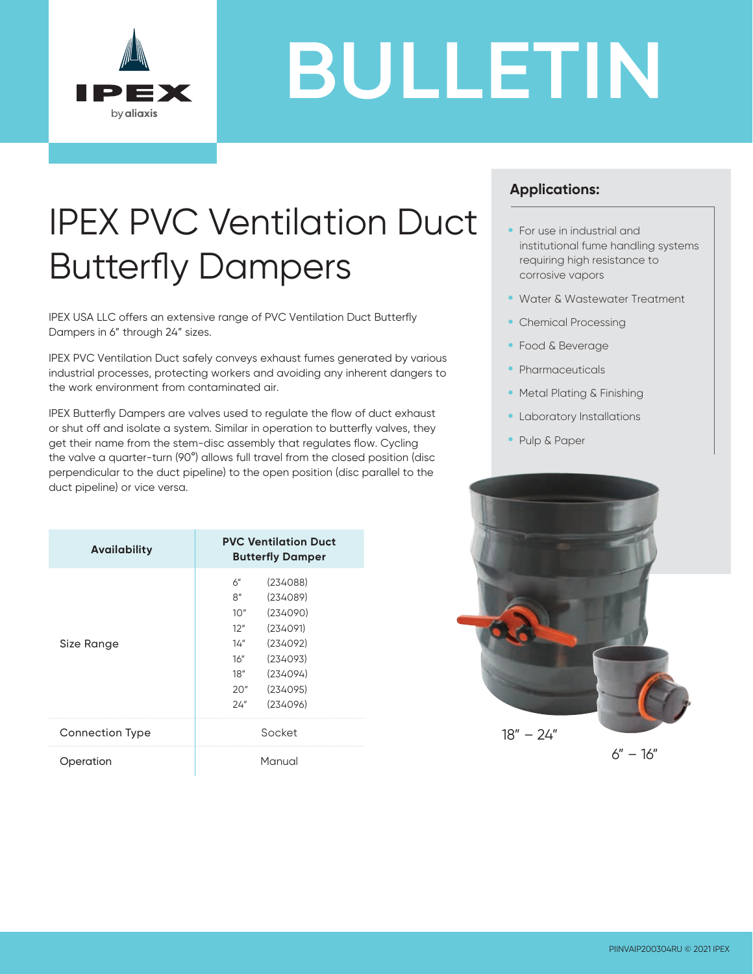

# **BULLETIN**

## IPEX PVC Ventilation Duct Butterfly Dampers

IPEX USA LLC offers an extensive range of PVC Ventilation Duct Butterfly Dampers in 6" through 24" sizes.

IPEX PVC Ventilation Duct safely conveys exhaust fumes generated by various industrial processes, protecting workers and avoiding any inherent dangers to the work environment from contaminated air.

IPEX Butterfly Dampers are valves used to regulate the flow of duct exhaust or shut off and isolate a system. Similar in operation to butterfly valves, they get their name from the stem-disc assembly that regulates flow. Cycling the valve a quarter-turn (90°) allows full travel from the closed position (disc perpendicular to the duct pipeline) to the open position (disc parallel to the duct pipeline) or vice versa.

| <b>Availability</b>    | <b>PVC Ventilation Duct</b><br><b>Butterfly Damper</b>                                    |
|------------------------|-------------------------------------------------------------------------------------------|
| Size Range             | (234088)<br>6"<br>(234089)<br>8"<br>(234090)<br>10"<br>(234091)<br>12"<br>(234092)<br>14″ |
|                        | (234093)<br>16"<br>(234094)<br>18"<br>(234095)<br>20"<br>(234096)<br>24"                  |
| <b>Connection Type</b> | Socket                                                                                    |
| peration               | Manual                                                                                    |

#### **Applications:**

- For use in industrial and institutional fume handling systems requiring high resistance to corrosive vapors
- Water & Wastewater Treatment
- Chemical Processing
- Food & Beverage
- Pharmaceuticals
- Metal Plating & Finishing
- Laboratory Installations
- Pulp & Paper